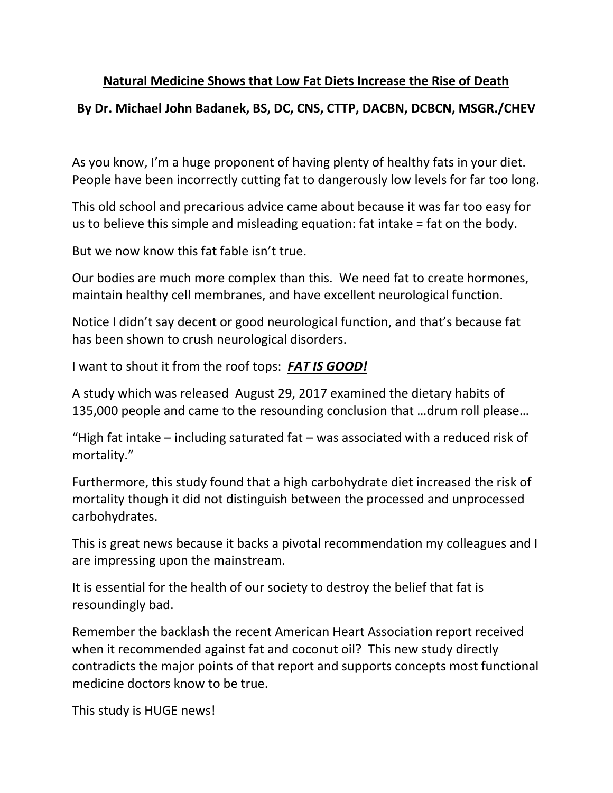## **Natural Medicine Shows that Low Fat Diets Increase the Rise of Death**

## **By Dr. Michael John Badanek, BS, DC, CNS, CTTP, DACBN, DCBCN, MSGR./CHEV**

As you know, I'm a huge proponent of having plenty of healthy fats in your diet. People have been incorrectly cutting fat to dangerously low levels for far too long.

This old school and precarious advice came about because it was far too easy for us to believe this simple and misleading equation: fat intake = fat on the body.

But we now know this fat fable isn't true.

Our bodies are much more complex than this. We need fat to create hormones, maintain healthy cell membranes, and have excellent neurological function.

Notice I didn't say decent or good neurological function, and that's because fat has been shown to crush neurological disorders.

I want to shout it from the roof tops: *FAT IS GOOD!*

A study which was released August 29, 2017 examined the dietary habits of 135,000 people and came to the resounding conclusion that …drum roll please…

"High fat intake – including saturated fat – was associated with a reduced risk of mortality."

Furthermore, this study found that a high carbohydrate diet increased the risk of mortality though it did not distinguish between the processed and unprocessed carbohydrates.

This is great news because it backs a pivotal recommendation my colleagues and I are impressing upon the mainstream.

It is essential for the health of our society to destroy the belief that fat is resoundingly bad.

Remember the backlash the recent American Heart Association report received when it recommended against fat and coconut oil? This new study directly contradicts the major points of that report and supports concepts most functional medicine doctors know to be true.

This study is HUGE news!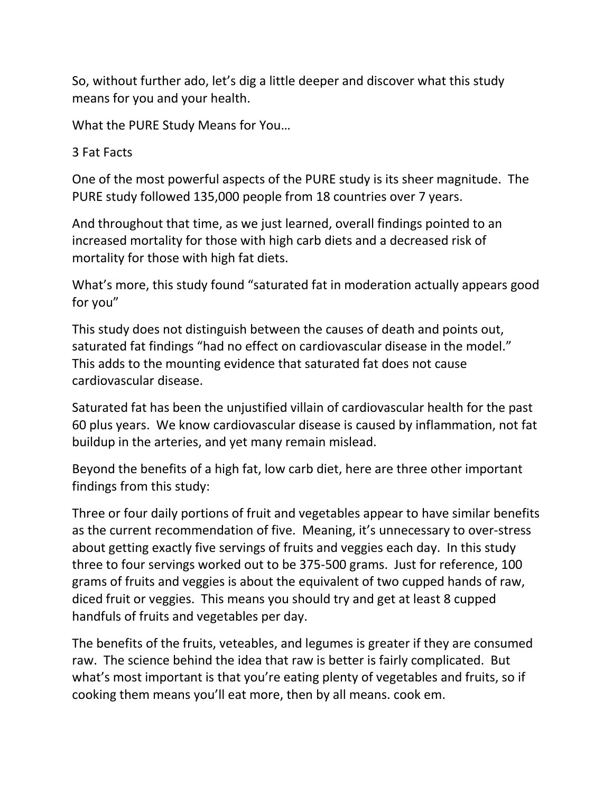So, without further ado, let's dig a little deeper and discover what this study means for you and your health.

What the PURE Study Means for You…

3 Fat Facts

One of the most powerful aspects of the PURE study is its sheer magnitude. The PURE study followed 135,000 people from 18 countries over 7 years.

And throughout that time, as we just learned, overall findings pointed to an increased mortality for those with high carb diets and a decreased risk of mortality for those with high fat diets.

What's more, this study found "saturated fat in moderation actually appears good for you"

This study does not distinguish between the causes of death and points out, saturated fat findings "had no effect on cardiovascular disease in the model." This adds to the mounting evidence that saturated fat does not cause cardiovascular disease.

Saturated fat has been the unjustified villain of cardiovascular health for the past 60 plus years. We know cardiovascular disease is caused by inflammation, not fat buildup in the arteries, and yet many remain mislead.

Beyond the benefits of a high fat, low carb diet, here are three other important findings from this study:

Three or four daily portions of fruit and vegetables appear to have similar benefits as the current recommendation of five. Meaning, it's unnecessary to over-stress about getting exactly five servings of fruits and veggies each day. In this study three to four servings worked out to be 375-500 grams. Just for reference, 100 grams of fruits and veggies is about the equivalent of two cupped hands of raw, diced fruit or veggies. This means you should try and get at least 8 cupped handfuls of fruits and vegetables per day.

The benefits of the fruits, veteables, and legumes is greater if they are consumed raw. The science behind the idea that raw is better is fairly complicated. But what's most important is that you're eating plenty of vegetables and fruits, so if cooking them means you'll eat more, then by all means. cook em.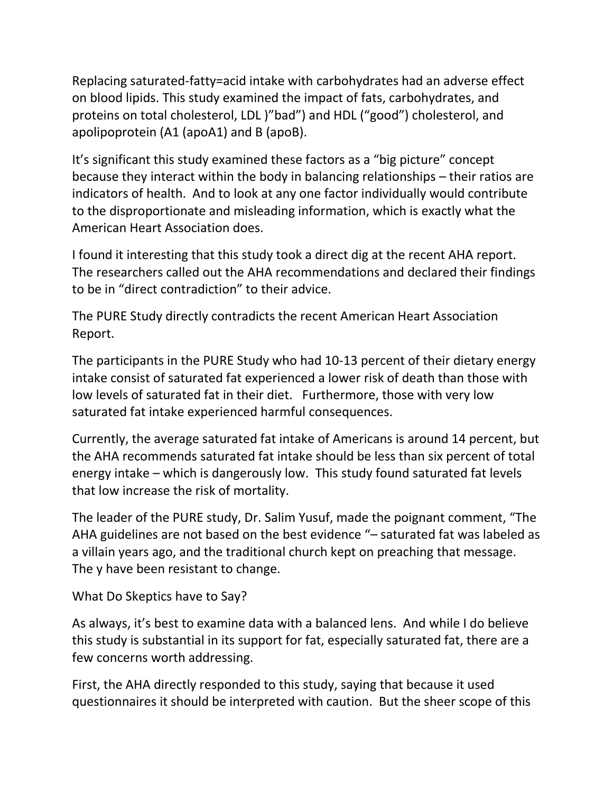Replacing saturated-fatty=acid intake with carbohydrates had an adverse effect on blood lipids. This study examined the impact of fats, carbohydrates, and proteins on total cholesterol, LDL )"bad") and HDL ("good") cholesterol, and apolipoprotein (A1 (apoA1) and B (apoB).

It's significant this study examined these factors as a "big picture" concept because they interact within the body in balancing relationships – their ratios are indicators of health. And to look at any one factor individually would contribute to the disproportionate and misleading information, which is exactly what the American Heart Association does.

I found it interesting that this study took a direct dig at the recent AHA report. The researchers called out the AHA recommendations and declared their findings to be in "direct contradiction" to their advice.

The PURE Study directly contradicts the recent American Heart Association Report.

The participants in the PURE Study who had 10-13 percent of their dietary energy intake consist of saturated fat experienced a lower risk of death than those with low levels of saturated fat in their diet. Furthermore, those with very low saturated fat intake experienced harmful consequences.

Currently, the average saturated fat intake of Americans is around 14 percent, but the AHA recommends saturated fat intake should be less than six percent of total energy intake – which is dangerously low. This study found saturated fat levels that low increase the risk of mortality.

The leader of the PURE study, Dr. Salim Yusuf, made the poignant comment, "The AHA guidelines are not based on the best evidence "– saturated fat was labeled as a villain years ago, and the traditional church kept on preaching that message. The y have been resistant to change.

What Do Skeptics have to Say?

As always, it's best to examine data with a balanced lens. And while I do believe this study is substantial in its support for fat, especially saturated fat, there are a few concerns worth addressing.

First, the AHA directly responded to this study, saying that because it used questionnaires it should be interpreted with caution. But the sheer scope of this